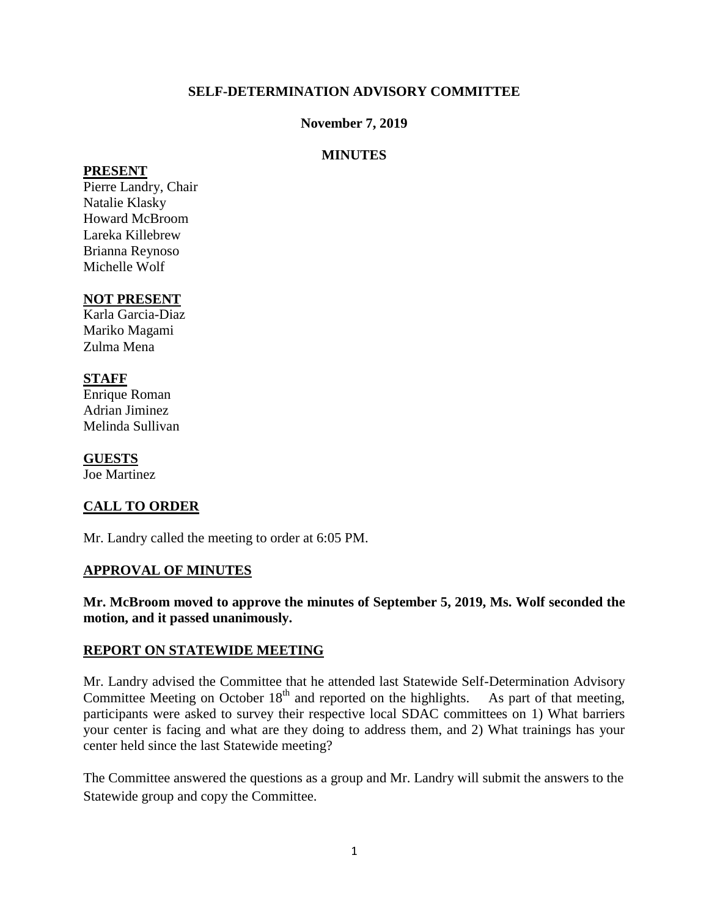## **SELF-DETERMINATION ADVISORY COMMITTEE**

### **November 7, 2019**

## **MINUTES**

#### **PRESENT**

Pierre Landry, Chair Natalie Klasky Howard McBroom Lareka Killebrew Brianna Reynoso Michelle Wolf

## **NOT PRESENT**

Karla Garcia-Diaz Mariko Magami Zulma Mena

## **STAFF**

Enrique Roman Adrian Jiminez Melinda Sullivan

**GUESTS** Joe Martinez

# **CALL TO ORDER**

Mr. Landry called the meeting to order at 6:05 PM.

#### **APPROVAL OF MINUTES**

## **Mr. McBroom moved to approve the minutes of September 5, 2019, Ms. Wolf seconded the motion, and it passed unanimously.**

#### **REPORT ON STATEWIDE MEETING**

Mr. Landry advised the Committee that he attended last Statewide Self-Determination Advisory Committee Meeting on October  $18<sup>th</sup>$  and reported on the highlights. As part of that meeting, participants were asked to survey their respective local SDAC committees on 1) What barriers your center is facing and what are they doing to address them, and 2) What trainings has your center held since the last Statewide meeting?

The Committee answered the questions as a group and Mr. Landry will submit the answers to the Statewide group and copy the Committee.